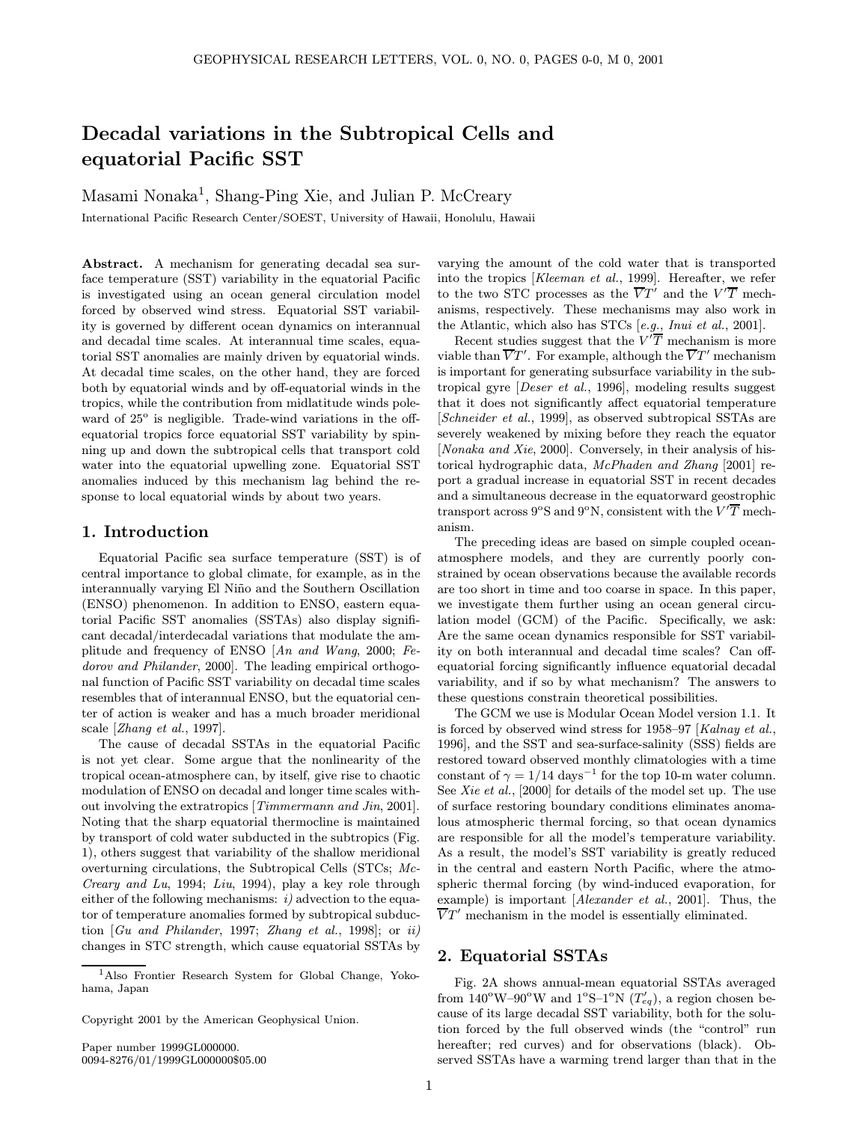# Decadal variations in the Subtropical Cells and equatorial Pacific SST

Masami Nonaka 1 , Shang-Ping Xie, and Julian P. McCreary

International Pacific Research Center/SOEST, University of Hawaii, Honolulu, Hawaii

Abstract. A mechanism for generating decadal sea surface temperature (SST) variability in the equatorial Pacific is investigated using an ocean general circulation model forced by observed wind stress. Equatorial SST variability is governed by different ocean dynamics on interannual and decadal time scales. At interannual time scales, equatorial SST anomalies are mainly driven by equatorial winds. At decadal time scales, on the other hand, they are forced both by equatorial winds and by off-equatorial winds in the tropics, while the contribution from midlatitude winds poleward of 25° is negligible. Trade-wind variations in the offequatorial tropics force equatorial SST variability by spinning up and down the subtropical cells that transport cold water into the equatorial upwelling zone. Equatorial SST anomalies induced by this mechanism lag behind the response to local equatorial winds by about two years.

# 1. Introduction

Equatorial Pacific sea surface temperature (SST) is of central importance to global climate, for example, as in the interannually varying El Niño and the Southern Oscillation (ENSO) phenomenon. In addition to ENSO, eastern equatorial Pacific SST anomalies (SSTAs) also display significant decadal/interdecadal variations that modulate the amplitude and frequency of ENSO [An and Wang, 2000; Fedorov and Philander, 2000]. The leading empirical orthogonal function of Pacific SST variability on decadal time scales resembles that of interannual ENSO, but the equatorial center of action is weaker and has a much broader meridional scale [Zhang et al., 1997].

The cause of decadal SSTAs in the equatorial Pacific is not yet clear. Some argue that the nonlinearity of the tropical ocean-atmosphere can, by itself, give rise to chaotic modulation of ENSO on decadal and longer time scales without involving the extratropics [Timmermann and Jin, 2001]. Noting that the sharp equatorial thermocline is maintained by transport of cold water subducted in the subtropics (Fig. 1), others suggest that variability of the shallow meridional overturning circulations, the Subtropical Cells (STCs; Mc-Creary and Lu, 1994; Liu, 1994), play a key role through either of the following mechanisms:  $i$  advection to the equator of temperature anomalies formed by subtropical subduction  $[Gu \text{ and Philander}, 1997; Zhang et al., 1998];$  or ii) changes in STC strength, which cause equatorial SSTAs by

Copyright 2001 by the American Geophysical Union.

Paper number 1999GL000000. 0094-8276/01/1999GL000000\$05.00 varying the amount of the cold water that is transported into the tropics [Kleeman et al., 1999]. Hereafter, we refer to the two STC processes as the  $\overline{V}T'$  and the  $V'\overline{T}$  mechanisms, respectively. These mechanisms may also work in the Atlantic, which also has STCs [e.g., Inui et al., 2001].

Recent studies suggest that the  $V^{\prime}\overline{T}$  mechanism is more viable than  $\overline{V}T'$ . For example, although the  $\overline{V}T'$  mechanism is important for generating subsurface variability in the subtropical gyre [Deser et al., 1996], modeling results suggest that it does not significantly affect equatorial temperature [Schneider et al., 1999], as observed subtropical SSTAs are severely weakened by mixing before they reach the equator [*Nonaka and Xie*, 2000]. Conversely, in their analysis of historical hydrographic data, McPhaden and Zhang [2001] report a gradual increase in equatorial SST in recent decades and a simultaneous decrease in the equatorward geostrophic transport across 9°S and 9°N, consistent with the  $V^{\prime}\overline{T}$  mechanism.

The preceding ideas are based on simple coupled oceanatmosphere models, and they are currently poorly constrained by ocean observations because the available records are too short in time and too coarse in space. In this paper, we investigate them further using an ocean general circulation model (GCM) of the Pacific. Specifically, we ask: Are the same ocean dynamics responsible for SST variability on both interannual and decadal time scales? Can offequatorial forcing significantly influence equatorial decadal variability, and if so by what mechanism? The answers to these questions constrain theoretical possibilities.

The GCM we use is Modular Ocean Model version 1.1. It is forced by observed wind stress for 1958–97 [Kalnay et al., 1996], and the SST and sea-surface-salinity (SSS) fields are restored toward observed monthly climatologies with a time constant of  $\gamma = 1/14 \text{ days}^{-1}$  for the top 10-m water column. See Xie et al., [2000] for details of the model set up. The use of surface restoring boundary conditions eliminates anomalous atmospheric thermal forcing, so that ocean dynamics are responsible for all the model's temperature variability. As a result, the model's SST variability is greatly reduced in the central and eastern North Pacific, where the atmospheric thermal forcing (by wind-induced evaporation, for example) is important [Alexander et al., 2001]. Thus, the  $\overline{V}T'$  mechanism in the model is essentially eliminated.

# 2. Equatorial SSTAs

Fig. 2A shows annual-mean equatorial SSTAs averaged from  $140^{\circ}\text{W}$ -90°W and  $1^{\circ}\text{S}-1^{\circ}\text{N}$  ( $T'_{eq}$ ), a region chosen because of its large decadal SST variability, both for the solution forced by the full observed winds (the "control" run hereafter; red curves) and for observations (black). Observed SSTAs have a warming trend larger than that in the

<sup>1</sup>Also Frontier Research System for Global Change, Yokohama, Japan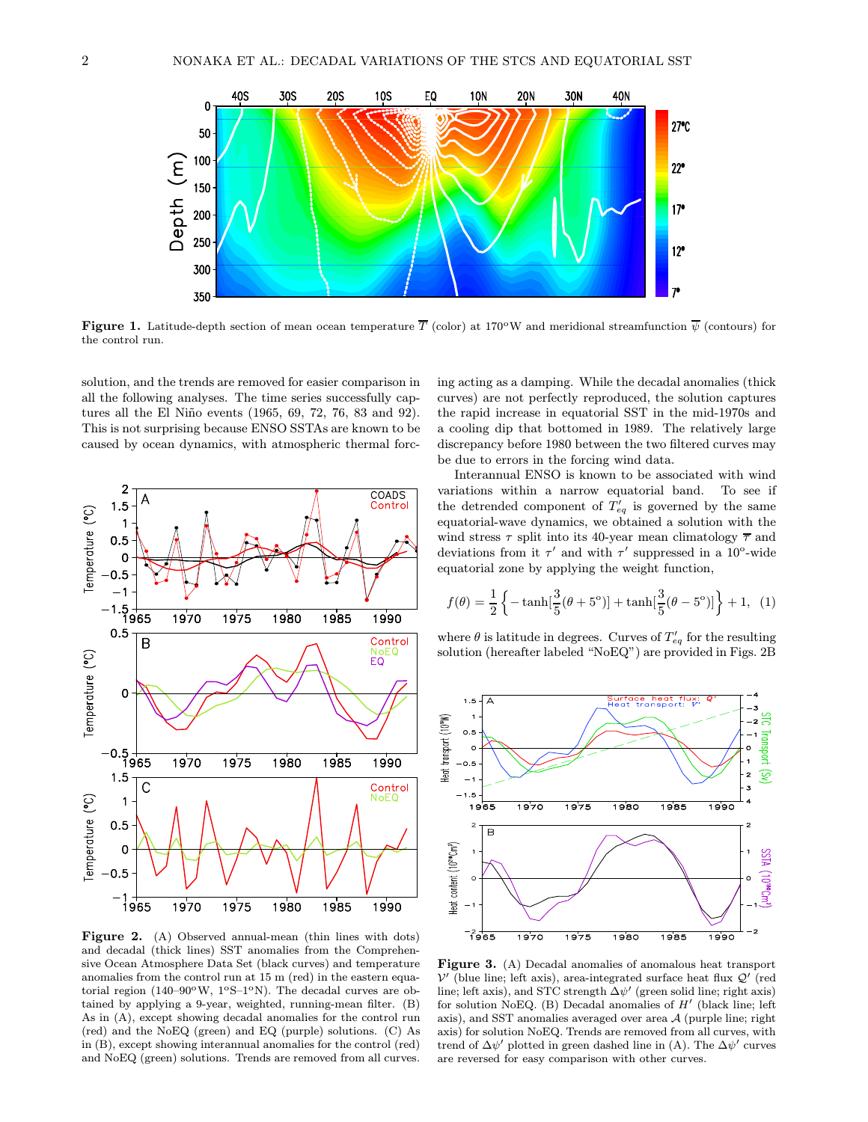

**Figure 1.** Latitude-depth section of mean ocean temperature  $\overline{T}$  (color) at 170°W and meridional streamfunction  $\overline{\psi}$  (contours) for the control run.

solution, and the trends are removed for easier comparison in all the following analyses. The time series successfully captures all the El Niño events (1965, 69, 72, 76, 83 and 92). This is not surprising because ENSO SSTAs are known to be caused by ocean dynamics, with atmospheric thermal forc-



Figure 2. (A) Observed annual-mean (thin lines with dots) and decadal (thick lines) SST anomalies from the Comprehensive Ocean Atmosphere Data Set (black curves) and temperature anomalies from the control run at 15 m (red) in the eastern equatorial region (140-90 $\rm{^{\circ}W},$  1 $\rm{^{\circ}S-1^{\circ}N}$ ). The decadal curves are obtained by applying a 9-year, weighted, running-mean filter. (B) As in (A), except showing decadal anomalies for the control run (red) and the NoEQ (green) and EQ (purple) solutions. (C) As in (B), except showing interannual anomalies for the control (red) and NoEQ (green) solutions. Trends are removed from all curves.

ing acting as a damping. While the decadal anomalies (thick curves) are not perfectly reproduced, the solution captures the rapid increase in equatorial SST in the mid-1970s and a cooling dip that bottomed in 1989. The relatively large discrepancy before 1980 between the two filtered curves may be due to errors in the forcing wind data.

Interannual ENSO is known to be associated with wind variations within a narrow equatorial band. To see if the detrended component of  $T_{eq}$  is governed by the same equatorial-wave dynamics, we obtained a solution with the wind stress  $\tau$  split into its 40-year mean climatology  $\overline{\tau}$  and deviations from it  $\tau'$  and with  $\tau'$  suppressed in a 10<sup>o</sup>-wide equatorial zone by applying the weight function,

$$
f(\theta) = \frac{1}{2} \left\{ -\tanh[\frac{3}{5}(\theta + 5^{\circ})] + \tanh[\frac{3}{5}(\theta - 5^{\circ})] \right\} + 1, (1)
$$

where  $\theta$  is latitude in degrees. Curves of  $T'_{eq}$  for the resulting solution (hereafter labeled "NoEQ") are provided in Figs. 2B



Figure 3. (A) Decadal anomalies of anomalous heat transport  $V'$  (blue line; left axis), area-integrated surface heat flux  $Q'$  (red line; left axis), and STC strength  $\Delta \psi'$  (green solid line; right axis) for solution NoEQ. (B) Decadal anomalies of  $H'$  (black line; left axis), and SST anomalies averaged over area  $A$  (purple line; right axis) for solution NoEQ. Trends are removed from all curves, with trend of  $\Delta \psi'$  plotted in green dashed line in (A). The  $\Delta \psi'$  curves are reversed for easy comparison with other curves.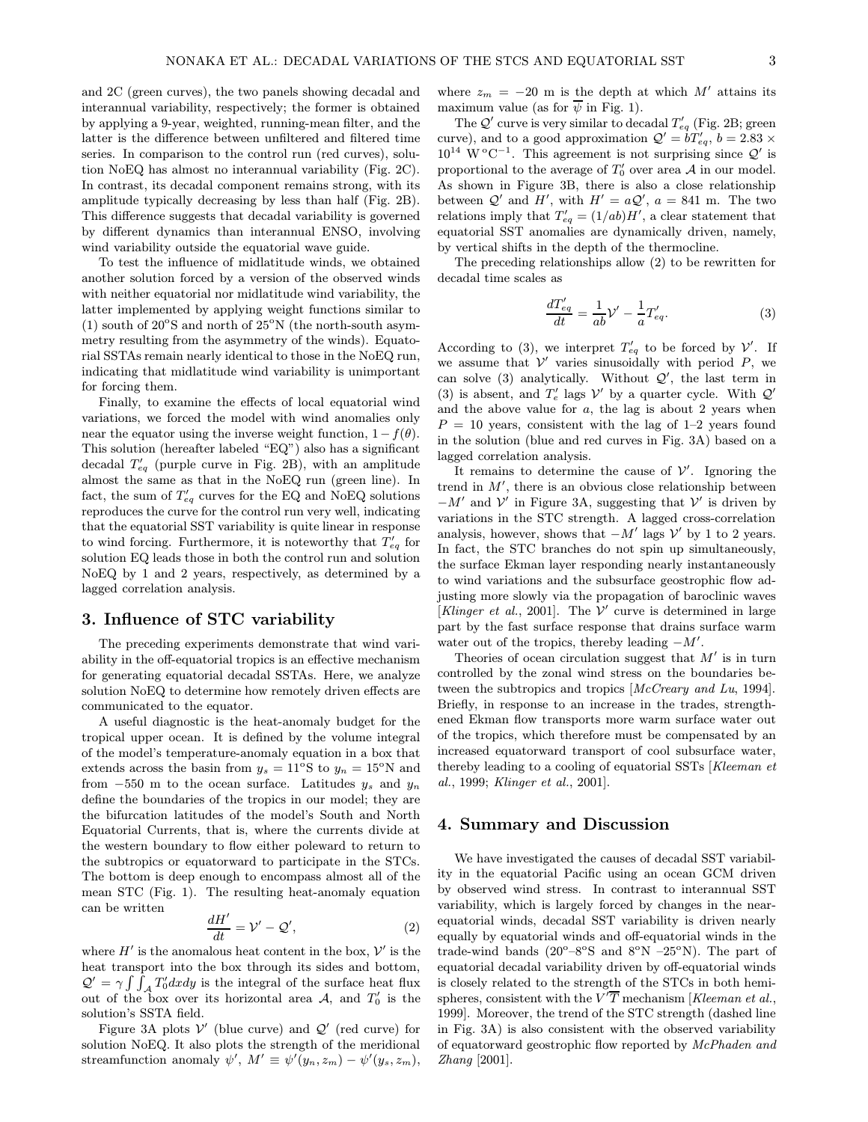and 2C (green curves), the two panels showing decadal and interannual variability, respectively; the former is obtained by applying a 9-year, weighted, running-mean filter, and the latter is the difference between unfiltered and filtered time series. In comparison to the control run (red curves), solution NoEQ has almost no interannual variability (Fig. 2C). In contrast, its decadal component remains strong, with its amplitude typically decreasing by less than half (Fig. 2B). This difference suggests that decadal variability is governed by different dynamics than interannual ENSO, involving wind variability outside the equatorial wave guide.

To test the influence of midlatitude winds, we obtained another solution forced by a version of the observed winds with neither equatorial nor midlatitude wind variability, the latter implemented by applying weight functions similar to (1) south of  $20^{\circ}$ S and north of  $25^{\circ}$ N (the north-south asymmetry resulting from the asymmetry of the winds). Equatorial SSTAs remain nearly identical to those in the NoEQ run, indicating that midlatitude wind variability is unimportant for forcing them.

Finally, to examine the effects of local equatorial wind variations, we forced the model with wind anomalies only near the equator using the inverse weight function,  $1 - f(\theta)$ . This solution (hereafter labeled "EQ") also has a significant decadal  $T'_{eq}$  (purple curve in Fig. 2B), with an amplitude almost the same as that in the NoEQ run (green line). In fact, the sum of  $T'_{eq}$  curves for the EQ and NoEQ solutions reproduces the curve for the control run very well, indicating that the equatorial SST variability is quite linear in response to wind forcing. Furthermore, it is noteworthy that  $T'_{eq}$  for solution EQ leads those in both the control run and solution NoEQ by 1 and 2 years, respectively, as determined by a lagged correlation analysis.

# 3. Influence of STC variability

The preceding experiments demonstrate that wind variability in the off-equatorial tropics is an effective mechanism for generating equatorial decadal SSTAs. Here, we analyze solution NoEQ to determine how remotely driven effects are communicated to the equator.

A useful diagnostic is the heat-anomaly budget for the tropical upper ocean. It is defined by the volume integral of the model's temperature-anomaly equation in a box that extends across the basin from  $y_s = 11^{\circ}S$  to  $y_n = 15^{\circ}N$  and from  $-550$  m to the ocean surface. Latitudes  $y_s$  and  $y_n$ define the boundaries of the tropics in our model; they are the bifurcation latitudes of the model's South and North Equatorial Currents, that is, where the currents divide at the western boundary to flow either poleward to return to the subtropics or equatorward to participate in the STCs. The bottom is deep enough to encompass almost all of the mean STC (Fig. 1). The resulting heat-anomaly equation can be written

$$
\frac{dH'}{dt} = \mathcal{V}' - \mathcal{Q}',\tag{2}
$$

where  $H'$  is the anomalous heat content in the box,  $\mathcal{V}'$  is the heat transport into the box through its sides and bottom,  $\mathcal{Q}' = \gamma \int \int_{\mathcal{A}} T'_0 dx dy$  is the integral of the surface heat flux out of the box over its horizontal area A, and  $T_0'$  is the solution's SSTA field.

Figure 3A plots  $V'$  (blue curve) and  $Q'$  (red curve) for solution NoEQ. It also plots the strength of the meridional streamfunction anomaly  $\psi'$ ,  $M' \equiv \psi'(y_n, z_m) - \psi'(y_s, z_m)$ ,

where  $z_m = -20$  m is the depth at which M' attains its maximum value (as for  $\overline{\psi}$  in Fig. 1).

The  $\mathcal{Q}'$  curve is very similar to decadal  $T'_{eq}$  (Fig. 2B; green curve), and to a good approximation  $Q' = bT'_{eq}$ ,  $b = 2.83 \times$  $10^{14}$  W<sup>o</sup>C<sup>-1</sup>. This agreement is not surprising since  $Q'$  is proportional to the average of  $T'_0$  over area A in our model. As shown in Figure 3B, there is also a close relationship between  $Q'$  and  $H'$ , with  $H' = aQ'$ ,  $a = 841$  m. The two relations imply that  $T'_{eq} = (1/ab)H'$ , a clear statement that equatorial SST anomalies are dynamically driven, namely, by vertical shifts in the depth of the thermocline.

The preceding relationships allow (2) to be rewritten for decadal time scales as

$$
\frac{dT'_{eq}}{dt} = \frac{1}{ab}\mathcal{V}' - \frac{1}{a}T'_{eq}.\tag{3}
$$

According to (3), we interpret  $T'_{eq}$  to be forced by  $\mathcal{V}'$ . If we assume that  $V'$  varies sinusoidally with period  $P$ , we can solve (3) analytically. Without  $Q'$ , the last term in (3) is absent, and  $T_e'$  lags  $\mathcal V'$  by a quarter cycle. With  $\mathcal Q'$ and the above value for  $a$ , the lag is about 2 years when  $P = 10$  years, consistent with the lag of 1–2 years found in the solution (blue and red curves in Fig. 3A) based on a lagged correlation analysis.

It remains to determine the cause of  $\mathcal{V}'$ . Ignoring the trend in  $M'$ , there is an obvious close relationship between  $-M'$  and  $\mathcal{V}'$  in Figure 3A, suggesting that  $\mathcal{V}'$  is driven by variations in the STC strength. A lagged cross-correlation analysis, however, shows that  $-M'$  lags  $\mathcal{V}'$  by 1 to 2 years. In fact, the STC branches do not spin up simultaneously, the surface Ekman layer responding nearly instantaneously to wind variations and the subsurface geostrophic flow adjusting more slowly via the propagation of baroclinic waves [Klinger et al., 2001]. The  $V'$  curve is determined in large part by the fast surface response that drains surface warm water out of the tropics, thereby leading  $-M'$ .

Theories of ocean circulation suggest that  $M'$  is in turn controlled by the zonal wind stress on the boundaries between the subtropics and tropics [McCreary and Lu, 1994]. Briefly, in response to an increase in the trades, strengthened Ekman flow transports more warm surface water out of the tropics, which therefore must be compensated by an increased equatorward transport of cool subsurface water, thereby leading to a cooling of equatorial SSTs [Kleeman et al., 1999; Klinger et al., 2001].

### 4. Summary and Discussion

We have investigated the causes of decadal SST variability in the equatorial Pacific using an ocean GCM driven by observed wind stress. In contrast to interannual SST variability, which is largely forced by changes in the nearequatorial winds, decadal SST variability is driven nearly equally by equatorial winds and off-equatorial winds in the trade-wind bands ( $20^{\circ} - 8^{\circ}$ S and  $8^{\circ}$ N  $-25^{\circ}$ N). The part of equatorial decadal variability driven by off-equatorial winds is closely related to the strength of the STCs in both hemispheres, consistent with the  $\overline{V'T}$  mechanism [*Kleeman et al.*, 1999]. Moreover, the trend of the STC strength (dashed line in Fig. 3A) is also consistent with the observed variability of equatorward geostrophic flow reported by McPhaden and Zhang [2001].